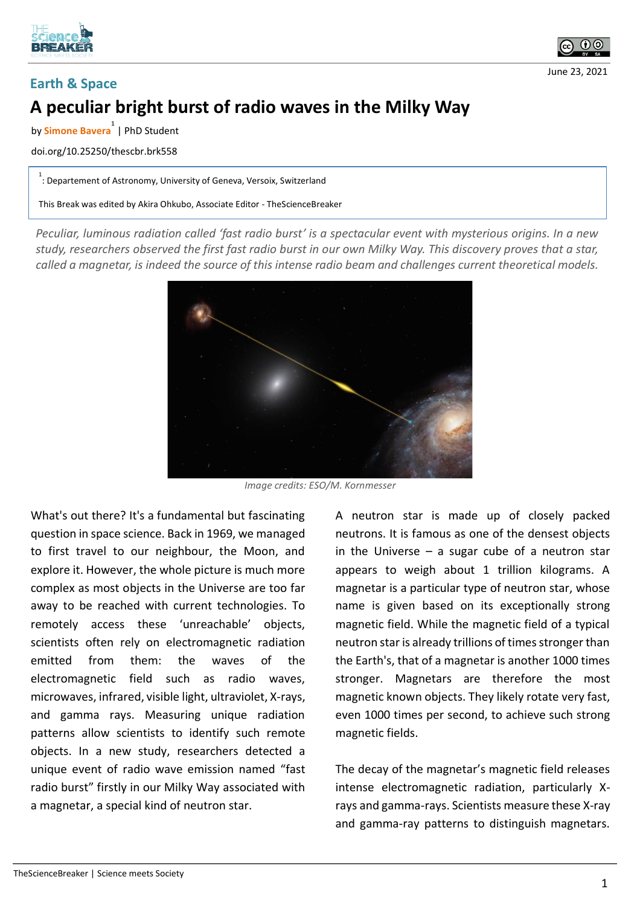



June 23, 2021

## **Earth & Space**

## **A peculiar bright burst of radio waves in the Milky Way**

by **Simone Bavera 1** | PhD Student

doi.org/10.25250/thescbr.brk558

1<br>: Departement of Astronomy, University of Geneva, Versoix, Switzerland

This Break was edited by Akira Ohkubo, Associate Editor - TheScienceBreaker

*Peculiar, luminous radiation called 'fast radio burst' is a spectacular event with mysterious origins. In a new study, researchers observed the first fast radio burst in our own Milky Way. This discovery proves that a star, called a magnetar, is indeed the source of this intense radio beam and challenges current theoretical models.*



*Image credits: ESO/M. Kornmesser*

What's out there? It's a fundamental but fascinating question in space science. Back in 1969, we managed to first travel to our neighbour, the Moon, and explore it. However, the whole picture is much more complex as most objects in the Universe are too far away to be reached with current technologies. To remotely access these 'unreachable' objects, scientists often rely on electromagnetic radiation emitted from them: the waves of the electromagnetic field such as radio waves, microwaves, infrared, visible light, ultraviolet, X-rays, and gamma rays. Measuring unique radiation patterns allow scientists to identify such remote objects. In a new study, researchers detected a unique event of radio wave emission named "fast radio burst" firstly in our Milky Way associated with a magnetar, a special kind of neutron star.

A neutron star is made up of closely packed neutrons. It is famous as one of the densest objects in the Universe  $-$  a sugar cube of a neutron star appears to weigh about 1 trillion kilograms. A magnetar is a particular type of neutron star, whose name is given based on its exceptionally strong magnetic field. While the magnetic field of a typical neutron star is already trillions of times stronger than the Earth's, that of a magnetar is another 1000 times stronger. Magnetars are therefore the most magnetic known objects. They likely rotate very fast, even 1000 times per second, to achieve such strong magnetic fields.

The decay of the magnetar's magnetic field releases intense electromagnetic radiation, particularly Xrays and gamma-rays. Scientists measure these X-ray and gamma-ray patterns to distinguish magnetars.